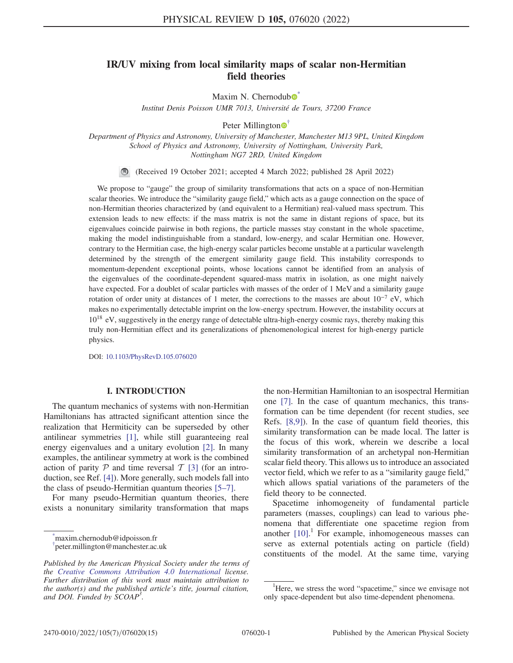# IR/UV mixing from local similarity maps of scalar non-Hermitian field theories

Maxim N. Chernodub $\bullet$ 

Institut Denis Poisson UMR 7013, Université de Tours, 37200 France

Peter Millington  $\bullet$ <sup>[†](#page-0-1)</sup>

<span id="page-0-3"></span><span id="page-0-2"></span>Department of Physics and Astronomy, University of Manchester, Manchester M13 9PL, United Kingdom School of Physics and Astronomy, University of Nottingham, University Park, Nottingham NG7 2RD, United Kingdom

(Received 19 October 2021; accepted 4 March 2022; published 28 April 2022)

We propose to "gauge" the group of similarity transformations that acts on a space of non-Hermitian scalar theories. We introduce the "similarity gauge field," which acts as a gauge connection on the space of non-Hermitian theories characterized by (and equivalent to a Hermitian) real-valued mass spectrum. This extension leads to new effects: if the mass matrix is not the same in distant regions of space, but its eigenvalues coincide pairwise in both regions, the particle masses stay constant in the whole spacetime, making the model indistinguishable from a standard, low-energy, and scalar Hermitian one. However, contrary to the Hermitian case, the high-energy scalar particles become unstable at a particular wavelength determined by the strength of the emergent similarity gauge field. This instability corresponds to momentum-dependent exceptional points, whose locations cannot be identified from an analysis of the eigenvalues of the coordinate-dependent squared-mass matrix in isolation, as one might naively have expected. For a doublet of scalar particles with masses of the order of 1 MeV and a similarity gauge rotation of order unity at distances of 1 meter, the corrections to the masses are about  $10^{-7}$  eV, which makes no experimentally detectable imprint on the low-energy spectrum. However, the instability occurs at  $10^{18}$  eV, suggestively in the energy range of detectable ultra-high-energy cosmic rays, thereby making this truly non-Hermitian effect and its generalizations of phenomenological interest for high-energy particle physics.

DOI: [10.1103/PhysRevD.105.076020](https://doi.org/10.1103/PhysRevD.105.076020)

# I. INTRODUCTION

The quantum mechanics of systems with non-Hermitian Hamiltonians has attracted significant attention since the realization that Hermiticity can be superseded by other antilinear symmetries [\[1](#page-13-0)], while still guaranteeing real energy eigenvalues and a unitary evolution [[2\]](#page-13-1). In many examples, the antilinear symmetry at work is the combined action of parity  $P$  and time reversal  $T$  [[3](#page-13-2)] (for an introduction, see Ref. [[4](#page-13-3)]). More generally, such models fall into the class of pseudo-Hermitian quantum theories [[5](#page-13-4)–[7](#page-13-5)].

For many pseudo-Hermitian quantum theories, there exists a nonunitary similarity transformation that maps

<span id="page-0-1"></span><span id="page-0-0"></span>[\\*](#page-0-2) maxim.chernodub@idpoisson.fr [†](#page-0-3) peter.millington@manchester.ac.uk the non-Hermitian Hamiltonian to an isospectral Hermitian one [[7\]](#page-13-5). In the case of quantum mechanics, this transformation can be time dependent (for recent studies, see Refs. [[8](#page-13-6),[9](#page-13-7)]). In the case of quantum field theories, this similarity transformation can be made local. The latter is the focus of this work, wherein we describe a local similarity transformation of an archetypal non-Hermitian scalar field theory. This allows us to introduce an associated vector field, which we refer to as a "similarity gauge field," which allows spatial variations of the parameters of the field theory to be connected.

Spacetime inhomogeneity of fundamental particle parameters (masses, couplings) can lead to various phenomena that differentiate one spacetime region from another  $\left[10\right]$ .<sup>1</sup> For example, inhomogeneous masses can serve as external potentials acting on particle (field) constituents of the model. At the same time, varying

Published by the American Physical Society under the terms of the [Creative Commons Attribution 4.0 International](https://creativecommons.org/licenses/by/4.0/) license. Further distribution of this work must maintain attribution to the author(s) and the published article's title, journal citation, and DOI. Funded by SCOAP<sup>3</sup>.

<sup>&</sup>lt;sup>1</sup>Here, we stress the word "spacetime," since we envisage not only space-dependent but also time-dependent phenomena.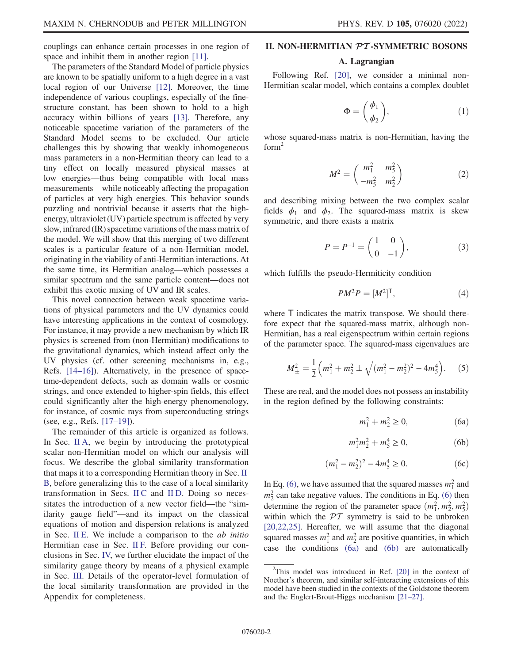couplings can enhance certain processes in one region of space and inhibit them in another region [[11](#page-13-9)].

The parameters of the Standard Model of particle physics are known to be spatially uniform to a high degree in a vast local region of our Universe [[12](#page-13-10)]. Moreover, the time independence of various couplings, especially of the finestructure constant, has been shown to hold to a high accuracy within billions of years [\[13\]](#page-13-11). Therefore, any noticeable spacetime variation of the parameters of the Standard Model seems to be excluded. Our article challenges this by showing that weakly inhomogeneous mass parameters in a non-Hermitian theory can lead to a tiny effect on locally measured physical masses at low energies—thus being compatible with local mass measurements—while noticeably affecting the propagation of particles at very high energies. This behavior sounds puzzling and nontrivial because it asserts that the highenergy, ultraviolet (UV) particle spectrum is affected by very slow, infrared (IR) spacetime variations of the mass matrix of the model. We will show that this merging of two different scales is a particular feature of a non-Hermitian model, originating in the viability of anti-Hermitian interactions. At the same time, its Hermitian analog—which possesses a similar spectrum and the same particle content—does not exhibit this exotic mixing of UV and IR scales.

This novel connection between weak spacetime variations of physical parameters and the UV dynamics could have interesting applications in the context of cosmology. For instance, it may provide a new mechanism by which IR physics is screened from (non-Hermitian) modifications to the gravitational dynamics, which instead affect only the UV physics (cf. other screening mechanisms in, e.g., Refs. [\[14](#page-13-12)–[16](#page-13-13)]). Alternatively, in the presence of spacetime-dependent defects, such as domain walls or cosmic strings, and once extended to higher-spin fields, this effect could significantly alter the high-energy phenomenology, for instance, of cosmic rays from superconducting strings (see, e.g., Refs. [[17](#page-13-14)–[19](#page-13-15)]).

The remainder of this article is organized as follows. In Sec. [II A](#page-1-0), we begin by introducing the prototypical scalar non-Hermitian model on which our analysis will focus. We describe the global similarity transformation that maps it to a corresponding Hermitian theory in Sec. [II](#page-3-0) [B](#page-3-0), before generalizing this to the case of a local similarity transformation in Secs. [II C](#page-4-0) and [II D.](#page-4-1) Doing so necessitates the introduction of a new vector field—the "similarity gauge field"—and its impact on the classical equations of motion and dispersion relations is analyzed in Sec. [II E](#page-6-0). We include a comparison to the  $ab$  initio Hermitian case in Sec. [II F.](#page-8-0) Before providing our conclusions in Sec. [IV,](#page-11-0) we further elucidate the impact of the similarity gauge theory by means of a physical example in Sec. [III.](#page-10-0) Details of the operator-level formulation of the local similarity transformation are provided in the Appendix for completeness.

#### <span id="page-1-0"></span>II. NON-HERMITIAN PT -SYMMETRIC BOSONS

#### A. Lagrangian

Following Ref. [\[20](#page-13-16)], we consider a minimal non-Hermitian scalar model, which contains a complex doublet

$$
\Phi = \begin{pmatrix} \phi_1 \\ \phi_2 \end{pmatrix}, \tag{1}
$$

<span id="page-1-5"></span>whose squared-mass matrix is non-Hermitian, having the  $form<sup>2</sup>$ 

$$
M^{2} = \begin{pmatrix} m_{1}^{2} & m_{5}^{2} \\ -m_{5}^{2} & m_{2}^{2} \end{pmatrix}
$$
 (2)

and describing mixing between the two complex scalar fields  $\phi_1$  and  $\phi_2$ . The squared-mass matrix is skew symmetric, and there exists a matrix

$$
P = P^{-1} = \begin{pmatrix} 1 & 0 \\ 0 & -1 \end{pmatrix}, \tag{3}
$$

which fulfills the pseudo-Hermiticity condition

$$
PM^2P = [M^2]^\mathsf{T},\tag{4}
$$

<span id="page-1-4"></span>where  $\bar{T}$  indicates the matrix transpose. We should therefore expect that the squared-mass matrix, although non-Hermitian, has a real eigenspectrum within certain regions of the parameter space. The squared-mass eigenvalues are

$$
M_{\pm}^2 = \frac{1}{2} \left( m_1^2 + m_2^2 \pm \sqrt{(m_1^2 - m_2^2)^2 - 4m_5^4} \right). \tag{5}
$$

<span id="page-1-2"></span><span id="page-1-1"></span>These are real, and the model does not possess an instability in the region defined by the following constraints:

$$
m_1^2 + m_2^2 \ge 0,\t\t(6a)
$$

$$
m_1^2 m_2^2 + m_5^4 \ge 0,\t\t(6b)
$$

$$
(m_1^2 - m_2^2)^2 - 4m_5^4 \ge 0.
$$
 (6c)

<span id="page-1-3"></span>In Eq. [\(6\)](#page-1-1), we have assumed that the squared masses  $m_1^2$  and  $m_2^2$  can take negative values. The conditions in Eq. [\(6\)](#page-1-1) then determine the region of the parameter space  $(m_1^2, m_2^2, m_5^2)$ within which the  $\mathcal{PT}$  symmetry is said to be unbroken [\[20](#page-13-16)[,22,](#page-13-17)[25](#page-13-18)]. Hereafter, we will assume that the diagonal squared masses  $m_1^2$  and  $m_2^2$  are positive quantities, in which case the conditions [\(6a\)](#page-1-1) and [\(6b\)](#page-1-2) are automatically

<sup>&</sup>lt;sup>2</sup>This model was introduced in Ref. [\[20\]](#page-13-16) in the context of Noether's theorem, and similar self-interacting extensions of this model have been studied in the contexts of the Goldstone theorem and the Englert-Brout-Higgs mechanism [\[21](#page-13-19)–[27](#page-13-20)].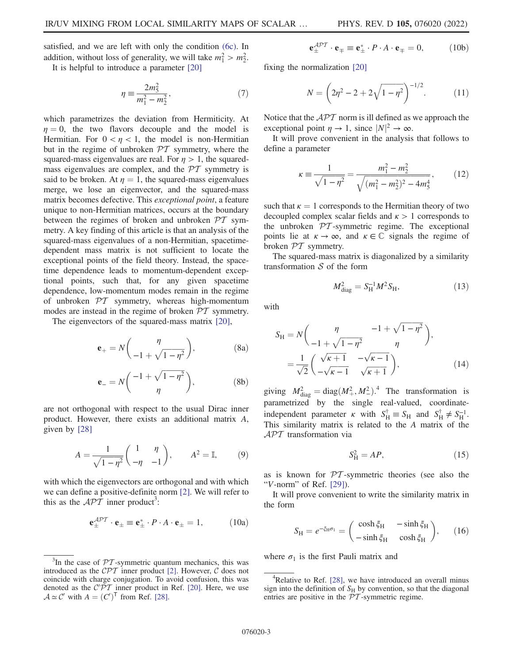satisfied, and we are left with only the condition [\(6c\).](#page-1-3) In addition, without loss of generality, we will take  $m_1^2 > m_2^2$ .

It is helpful to introduce a parameter 
$$
[20]
$$

$$
\eta \equiv \frac{2m_5^2}{m_1^2 - m_2^2},\tag{7}
$$

which parametrizes the deviation from Hermiticity. At  $\eta = 0$ , the two flavors decouple and the model is Hermitian. For  $0 < n < 1$ , the model is non-Hermitian but in the regime of unbroken  $\mathcal{PT}$  symmetry, where the squared-mass eigenvalues are real. For  $\eta > 1$ , the squaredmass eigenvalues are complex, and the  $\mathcal{PT}$  symmetry is said to be broken. At  $\eta = 1$ , the squared-mass eigenvalues merge, we lose an eigenvector, and the squared-mass matrix becomes defective. This exceptional point, a feature unique to non-Hermitian matrices, occurs at the boundary between the regimes of broken and unbroken  $\mathcal{P}\mathcal{T}$  symmetry. A key finding of this article is that an analysis of the squared-mass eigenvalues of a non-Hermitian, spacetimedependent mass matrix is not sufficient to locate the exceptional points of the field theory. Instead, the spacetime dependence leads to momentum-dependent exceptional points, such that, for any given spacetime dependence, low-momentum modes remain in the regime of unbroken  $PT$  symmetry, whereas high-momentum modes are instead in the regime of broken  $\mathcal{PT}$  symmetry.

The eigenvectors of the squared-mass matrix [[20](#page-13-16)],

$$
\mathbf{e}_{+} = N \begin{pmatrix} \eta \\ -1 + \sqrt{1 - \eta^{2}} \end{pmatrix}, \tag{8a}
$$

$$
\mathbf{e}_{-} = N \left( \frac{-1 + \sqrt{1 - \eta^2}}{\eta} \right), \tag{8b}
$$

are not orthogonal with respect to the usual Dirac inner product. However, there exists an additional matrix A, given by [\[28\]](#page-13-21)

$$
A = \frac{1}{\sqrt{1 - \eta^2}} \begin{pmatrix} 1 & \eta \\ -\eta & -1 \end{pmatrix}, \qquad A^2 = \mathbb{I}, \tag{9}
$$

with which the eigenvectors are orthogonal and with which we can define a positive-definite norm [[2](#page-13-1)]. We will refer to this as the  $\mathcal{API}$  inner product<sup>3</sup>:

$$
\mathbf{e}_{\pm}^{\mathcal{A}\mathcal{P}\mathcal{T}} \cdot \mathbf{e}_{\pm} \equiv \mathbf{e}_{\pm}^* \cdot P \cdot A \cdot \mathbf{e}_{\pm} = 1, \quad (10a)
$$

$$
\mathbf{e}_{\pm}^{\mathcal{A}\mathcal{P}\mathcal{T}}\cdot\mathbf{e}_{\mp}\equiv\mathbf{e}_{\pm}^*\cdot P\cdot A\cdot\mathbf{e}_{\mp}=0, \qquad\qquad(10\mathrm{b})
$$

fixing the normalization [\[20\]](#page-13-16)

$$
N = \left(2\eta^2 - 2 + 2\sqrt{1 - \eta^2}\right)^{-1/2}.\tag{11}
$$

Notice that the  $\mathcal{APT}$  norm is ill defined as we approach the exceptional point  $\eta \to 1$ , since  $|N|^2 \to \infty$ .

It will prove convenient in the analysis that follows to define a parameter

$$
\kappa \equiv \frac{1}{\sqrt{1 - \eta^2}} = \frac{m_1^2 - m_2^2}{\sqrt{(m_1^2 - m_2^2)^2 - 4m_5^4}},\qquad(12)
$$

such that  $\kappa = 1$  corresponds to the Hermitian theory of two decoupled complex scalar fields and  $\kappa > 1$  corresponds to the unbroken  $PT$ -symmetric regime. The exceptional points lie at  $\kappa \to \infty$ , and  $\kappa \in \mathbb{C}$  signals the regime of broken PT symmetry.

The squared-mass matrix is diagonalized by a similarity transformation  $S$  of the form

$$
M_{\rm diag}^2 = S_{\rm H}^{-1} M^2 S_{\rm H},\tag{13}
$$

<span id="page-2-2"></span>with

$$
S_{\rm H} = N \left( \frac{\eta}{-1 + \sqrt{1 - \eta^2}} \frac{-1 + \sqrt{1 - \eta^2}}{\eta} \right),
$$
  
=  $\frac{1}{\sqrt{2}} \left( \frac{\sqrt{\kappa + 1}}{-\sqrt{\kappa - 1}} \frac{-\sqrt{\kappa - 1}}{\sqrt{\kappa + 1}} \right),$  (14)

giving  $M_{\text{diag}}^2 = \text{diag}(M_+^2, M_-^2)^2$ . The transformation is parametrized by the single real-valued, coordinateindependent parameter  $\kappa$  with  $S_{\text{H}}^{\dagger} \equiv S_{\text{H}}$  and  $S_{\text{H}}^{\dagger} \neq S_{\text{H}}^{-1}$ . This similarity matrix is related to the A matrix of the  $\mathcal{APT}$  transformation via

$$
S_H^2 = AP,\t\t(15)
$$

as is known for  $\mathcal{P}T$ -symmetric theories (see also the "V-norm" of Ref.  $[29]$ ).

<span id="page-2-0"></span>It will prove convenient to write the similarity matrix in the form

$$
S_{\rm H} = e^{-\xi_{\rm H}\sigma_1} = \begin{pmatrix} \cosh \xi_{\rm H} & -\sinh \xi_{\rm H} \\ -\sinh \xi_{\rm H} & \cosh \xi_{\rm H} \end{pmatrix},\qquad(16)
$$

<span id="page-2-1"></span>where  $\sigma_1$  is the first Pauli matrix and

In the case of  $PT$ -symmetric quantum mechanics, this was introduced as the  $\mathcal{CPT}$  inner product [[2](#page-13-1)]. However,  $\mathcal C$  does not coincide with charge conjugation. To avoid confusion, this was denoted as the  $C'PT$  inner product in Ref. [[20](#page-13-16)]. Here, we use  $A \simeq C'$  with  $A = (C')^{\mathsf{T}}$  from Ref. [[28](#page-13-21)].

<sup>&</sup>lt;sup>4</sup>Relative to Ref. [[28](#page-13-21)], we have introduced an overall minus sign into the definition of  $S_H$  by convention, so that the diagonal entries are positive in the  $PT$ -symmetric regime.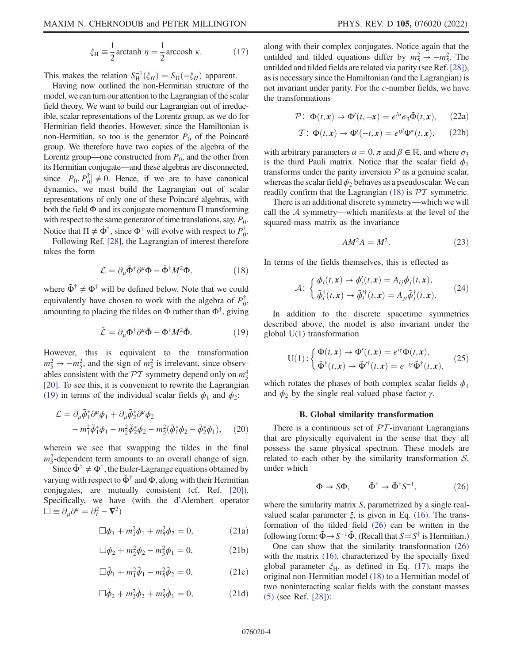$$
\xi_{\rm H} \equiv \frac{1}{2} \arctanh \eta = \frac{1}{2} \arccosh \kappa. \tag{17}
$$

This makes the relation  $S_{\rm H}^{-1}(\xi_H) = S_{\rm H}(-\xi_H)$  apparent.

Having now outlined the non-Hermitian structure of the model, we can turn our attention to the Lagrangian of the scalar field theory. We want to build our Lagrangian out of irreducible, scalar representations of the Lorentz group, as we do for Hermitian field theories. However, since the Hamiltonian is non-Hermitian, so too is the generator  $P_0$  of the Poincaré group. We therefore have two copies of the algebra of the Lorentz group—one constructed from  $P_0$ , and the other from its Hermitian conjugate—and these algebras are disconnected, since  $[P_0, P_0^{\dagger}] \neq 0$ . Hence, if we are to have canonical dynamics, we must build the Lagrangian out of scalar representations of only one of these Poincaré algebras, with both the field  $\Phi$  and its conjugate momentum  $\Pi$  transforming with respect to the same generator of time translations, say,  $P_0$ . Notice that  $\Pi \neq \dot{\Phi}^{\dagger}$ , since  $\Phi^{\dagger}$  will evolve with respect to  $P_0^{\dagger}$ .

<span id="page-3-2"></span>Following Ref. [\[28\]](#page-13-21), the Lagrangian of interest therefore takes the form

$$
\mathcal{L} = \partial_{\mu} \tilde{\Phi}^{\dagger} \partial^{\mu} \Phi - \tilde{\Phi}^{\dagger} M^2 \Phi, \tag{18}
$$

<span id="page-3-1"></span>where  $\tilde{\Phi}^{\dagger} \neq \Phi^{\dagger}$  will be defined below. Note that we could equivalently have chosen to work with the algebra of  $P_0^{\dagger}$ , amounting to placing the tildes on  $\Phi$  rather than  $\Phi^{\dagger}$ , giving

$$
\tilde{\mathcal{L}} = \partial_{\mu} \Phi^{\dagger} \partial^{\mu} \tilde{\Phi} - \Phi^{\dagger} M^2 \tilde{\Phi}.
$$
 (19)

However, this is equivalent to the transformation  $m_5^2 \rightarrow -m_5^2$ , and the sign of  $m_5^2$  is irrelevant, since observables consistent with the  $\mathcal{PT}$  symmetry depend only on  $m_5^4$ [\[20\]](#page-13-16). To see this, it is convenient to rewrite the Lagrangian [\(19\)](#page-3-1) in terms of the individual scalar fields  $\phi_1$  and  $\phi_2$ :

$$
\mathcal{L} = \partial_{\mu}\tilde{\phi}_{1}^{*}\partial^{\mu}\phi_{1} + \partial_{\mu}\tilde{\phi}_{2}^{*}\partial^{\mu}\phi_{2} - m_{1}^{2}\tilde{\phi}_{1}^{*}\phi_{1} - m_{2}^{2}\tilde{\phi}_{2}^{*}\phi_{2} - m_{5}^{2}(\tilde{\phi}_{1}^{*}\phi_{2} - \tilde{\phi}_{2}^{*}\phi_{1}),
$$
 (20)

wherein we see that swapping the tildes in the final  $m_5^2$ -dependent term amounts to an overall change of sign.

<span id="page-3-4"></span>Since  $\tilde{\Phi}^{\dagger} \neq \Phi^{\dagger}$ , the Euler-Lagrange equations obtained by varying with respect to  $\tilde{\Phi}^{\dagger}$  and  $\Phi$ , along with their Hermitian conjugates, are mutually consistent (cf. Ref. [\[20\]](#page-13-16)). Specifically, we have (with the d'Alembert operator  $\Box \equiv \partial_{\mu} \partial^{\mu} = \partial_{t}^{2} - \mathbf{\nabla}^{2}$ 

$$
\Box \phi_1 + m_1^2 \phi_1 + m_5^2 \phi_2 = 0, \qquad (21a)
$$

$$
\Box \phi_2 + m_2^2 \phi_2 - m_5^2 \phi_1 = 0, \tag{21b}
$$

<span id="page-3-5"></span>
$$
\Box \tilde{\phi}_1 + m_1^2 \tilde{\phi}_1 - m_5^2 \tilde{\phi}_2 = 0, \qquad (21c)
$$

$$
\Box \tilde{\phi}_2 + m_2^2 \tilde{\phi}_2 + m_5^2 \tilde{\phi}_1 = 0, \qquad (21d)
$$

along with their complex conjugates. Notice again that the untilded and tilded equations differ by  $m_5^2 \rightarrow -m_5^2$ . The untilded and tilded fields are related via parity (see Ref.[\[28\]](#page-13-21)), as is necessary since the Hamiltonian (and the Lagrangian) is not invariant under parity. For the c-number fields, we have the transformations

<span id="page-3-6"></span>
$$
\mathcal{P}: \ \Phi(t, x) \to \Phi'(t, -x) = e^{i\alpha} \sigma_3 \tilde{\Phi}(t, x), \qquad (22a)
$$

$$
\mathcal{T} \colon \Phi(t, x) \to \Phi'(-t, x) = e^{i\beta} \Phi^*(t, x), \qquad (22b)
$$

with arbitrary parameters  $\alpha = 0$ ,  $\pi$  and  $\beta \in \mathbb{R}$ , and where  $\sigma_3$ is the third Pauli matrix. Notice that the scalar field  $\phi_1$ transforms under the parity inversion  $P$  as a genuine scalar, whereas the scalar field  $\phi_2$  behaves as a pseudoscalar. We can readily confirm that the Lagrangian [\(18\)](#page-3-2) is  $\mathcal{P}\mathcal{T}$  symmetric.

There is an additional discrete symmetry—which we will call the  $A$  symmetry—which manifests at the level of the squared-mass matrix as the invariance

$$
AM^2A = M^2. \tag{23}
$$

In terms of the fields themselves, this is effected as

$$
\mathcal{A}: \begin{cases} \phi_i(t,\mathbf{x}) \to \phi'_i(t,\mathbf{x}) = A_{ij}\phi_j(t,\mathbf{x}), \\ \tilde{\phi}_i^{\dagger}(t,\mathbf{x}) \to \tilde{\phi}_i^{\prime \dagger}(t,\mathbf{x}) = A_{ji}\tilde{\phi}_j^{\dagger}(t,\mathbf{x}). \end{cases} (24)
$$

In addition to the discrete spacetime symmetries described above, the model is also invariant under the global U(1) transformation

$$
U(1): \begin{cases} \Phi(t,x) \to \Phi'(t,x) = e^{i\gamma} \Phi(t,x), \\ \tilde{\Phi}^{\dagger}(t,x) \to \tilde{\Phi}'^{\dagger}(t,x) = e^{-i\gamma} \tilde{\Phi}^{\dagger}(t,x), \end{cases} (25)
$$

which rotates the phases of both complex scalar fields  $\phi_1$ and  $\phi_2$  by the single real-valued phase factor  $\gamma$ .

#### B. Global similarity transformation

<span id="page-3-3"></span><span id="page-3-0"></span>There is a continuous set of  $PT$ -invariant Lagrangians that are physically equivalent in the sense that they all possess the same physical spectrum. These models are related to each other by the similarity transformation  $S$ , under which

$$
\Phi \to S\Phi, \qquad \tilde{\Phi}^{\dagger} \to \tilde{\Phi}^{\dagger} S^{-1}, \tag{26}
$$

where the similarity matrix S, parametrized by a single realvalued scalar parameter  $\xi$ , is given in Eq. [\(16\).](#page-2-0) The transformation of the tilded field [\(26\)](#page-3-3) can be written in the following form:  $\tilde{\Phi} \rightarrow S^{-1} \tilde{\Phi}$ . (Recall that  $S = S^{\dagger}$  is Hermitian.)

One can show that the similarity transformation [\(26\)](#page-3-3) with the matrix [\(16\)](#page-2-0), characterized by the specially fixed global parameter  $\xi_H$ , as defined in Eq. [\(17\),](#page-2-1) maps the original non-Hermitian model [\(18\)](#page-3-2) to a Hermitian model of two noninteracting scalar fields with the constant masses [\(5\)](#page-1-4) (see Ref. [[28](#page-13-21)]):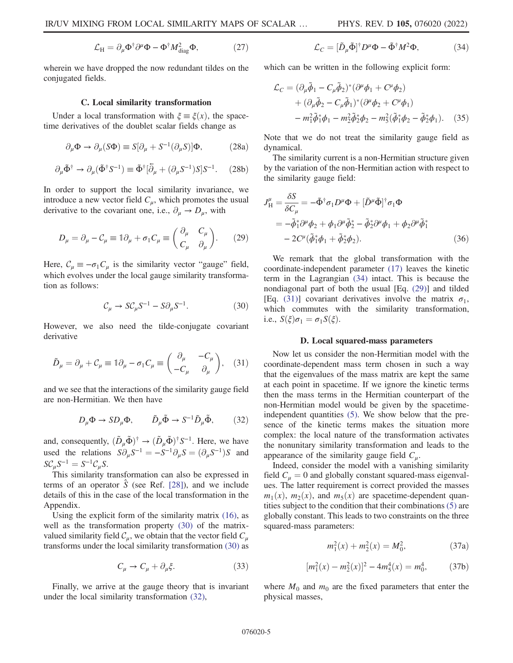$$
\mathcal{L}_{\rm H} = \partial_{\mu} \Phi^{\dagger} \partial^{\mu} \Phi - \Phi^{\dagger} M_{\rm diag}^2 \Phi, \tag{27}
$$

wherein we have dropped the now redundant tildes on the conjugated fields.

#### C. Local similarity transformation

<span id="page-4-0"></span>Under a local transformation with  $\xi = \xi(x)$ , the spacetime derivatives of the doublet scalar fields change as

$$
\partial_{\mu} \Phi \to \partial_{\mu} (S \Phi) \equiv S [\partial_{\mu} + S^{-1} (\partial_{\mu} S)] \Phi, \tag{28a}
$$

$$
\partial_{\mu}\tilde{\Phi}^{\dagger} \to \partial_{\mu}(\tilde{\Phi}^{\dagger}S^{-1}) \equiv \tilde{\Phi}^{\dagger}[\bar{\partial}_{\mu} + (\partial_{\mu}S^{-1})S]S^{-1}.
$$
 (28b)

<span id="page-4-5"></span>In order to support the local similarity invariance, we introduce a new vector field  $C_{\mu}$ , which promotes the usual derivative to the covariant one, i.e.,  $\partial_{\mu} \rightarrow D_{\mu}$ , with

$$
D_{\mu} = \partial_{\mu} - C_{\mu} \equiv \mathbb{1}\partial_{\mu} + \sigma_1 C_{\mu} \equiv \begin{pmatrix} \partial_{\mu} & C_{\mu} \\ C_{\mu} & \partial_{\mu} \end{pmatrix}.
$$
 (29)

<span id="page-4-2"></span>Here,  $C_{\mu} \equiv -\sigma_1 C_{\mu}$  is the similarity vector "gauge" field, which evolves under the local gauge similarity transformation as follows:

$$
\mathcal{C}_{\mu} \to S \mathcal{C}_{\mu} S^{-1} - S \partial_{\mu} S^{-1}.
$$
 (30)

<span id="page-4-6"></span>However, we also need the tilde-conjugate covariant derivative

$$
\tilde{D}_{\mu} = \partial_{\mu} + C_{\mu} \equiv \mathbb{1}\partial_{\mu} - \sigma_1 C_{\mu} \equiv \begin{pmatrix} \partial_{\mu} & -C_{\mu} \\ -C_{\mu} & \partial_{\mu} \end{pmatrix}, \quad (31)
$$

<span id="page-4-3"></span>and we see that the interactions of the similarity gauge field are non-Hermitian. We then have

$$
D_{\mu}\Phi \to SD_{\mu}\Phi, \qquad \tilde{D}_{\mu}\tilde{\Phi} \to S^{-1}\tilde{D}_{\mu}\tilde{\Phi}, \qquad (32)
$$

and, consequently,  $(\tilde{D}_{\mu} \tilde{\Phi})^{\dagger} \rightarrow (\tilde{D}_{\mu} \tilde{\Phi})^{\dagger} S^{-1}$ . Here, we have used the relations  $S \partial_{\mu} S^{-1} = -S^{-1} \partial_{\mu} S = (\partial_{\mu} S^{-1})S$  and  $SC_{\mu}S^{-1} = S^{-1}C_{\mu}S.$ 

This similarity transformation can also be expressed in terms of an operator  $\hat{S}$  (see Ref. [[28](#page-13-21)]), and we include details of this in the case of the local transformation in the Appendix.

Using the explicit form of the similarity matrix [\(16\),](#page-2-0) as well as the transformation property [\(30\)](#page-4-2) of the matrixvalued similarity field  $C_\mu$ , we obtain that the vector field  $C_\mu$ transforms under the local similarity transformation [\(30\)](#page-4-2) as

$$
C_{\mu} \to C_{\mu} + \partial_{\mu} \xi. \tag{33}
$$

<span id="page-4-4"></span>Finally, we arrive at the gauge theory that is invariant under the local similarity transformation [\(32\)](#page-4-3),

$$
\mathcal{L}_C = [\tilde{D}_{\mu}\tilde{\Phi}]^{\dagger} D^{\mu} \Phi - \tilde{\Phi}^{\dagger} M^2 \Phi, \tag{34}
$$

<span id="page-4-9"></span>which can be written in the following explicit form:

$$
\mathcal{L}_C = (\partial_\mu \tilde{\phi}_1 - C_\mu \tilde{\phi}_2)^* (\partial^\mu \phi_1 + C^\mu \phi_2) \n+ (\partial_\mu \tilde{\phi}_2 - C_\mu \tilde{\phi}_1)^* (\partial^\mu \phi_2 + C^\mu \phi_1) \n- m_1^2 \tilde{\phi}_1^* \phi_1 - m_2^2 \tilde{\phi}_2^* \phi_2 - m_3^2 (\tilde{\phi}_1^* \phi_2 - \tilde{\phi}_2^* \phi_1).
$$
\n(35)

Note that we do not treat the similarity gauge field as dynamical.

<span id="page-4-8"></span>The similarity current is a non-Hermitian structure given by the variation of the non-Hermitian action with respect to the similarity gauge field:

$$
J_{\rm H}^{\mu} = \frac{\delta S}{\delta C_{\mu}} = -\tilde{\Phi}^{\dagger} \sigma_{1} D^{\mu} \Phi + [\tilde{D}^{\mu} \tilde{\Phi}]^{\dagger} \sigma_{1} \Phi
$$
  

$$
= -\tilde{\phi}_{1}^{*} \partial^{\mu} \phi_{2} + \phi_{1} \partial^{\mu} \tilde{\phi}_{2}^{*} - \tilde{\phi}_{2}^{*} \partial^{\mu} \phi_{1} + \phi_{2} \partial^{\mu} \tilde{\phi}_{1}^{*}
$$
  

$$
- 2C^{\mu} (\tilde{\phi}_{1}^{*} \phi_{1} + \tilde{\phi}_{2}^{*} \phi_{2}). \tag{36}
$$

We remark that the global transformation with the coordinate-independent parameter [\(17\)](#page-2-1) leaves the kinetic term in the Lagrangian [\(34\)](#page-4-4) intact. This is because the nondiagonal part of both the usual [Eq. [\(29\)](#page-4-5)] and tilded [Eq. [\(31\)\]](#page-4-6) covariant derivatives involve the matrix  $\sigma_1$ , which commutes with the similarity transformation, i.e.,  $S(\xi)\sigma_1 = \sigma_1S(\xi)$ .

#### D. Local squared-mass parameters

<span id="page-4-1"></span>Now let us consider the non-Hermitian model with the coordinate-dependent mass term chosen in such a way that the eigenvalues of the mass matrix are kept the same at each point in spacetime. If we ignore the kinetic terms then the mass terms in the Hermitian counterpart of the non-Hermitian model would be given by the spacetimeindependent quantities [\(5\).](#page-1-4) We show below that the presence of the kinetic terms makes the situation more complex: the local nature of the transformation activates the nonunitary similarity transformation and leads to the appearance of the similarity gauge field  $C_{\mu}$ .

<span id="page-4-10"></span>Indeed, consider the model with a vanishing similarity field  $C_{\mu} = 0$  and globally constant squared-mass eigenvalues. The latter requirement is correct provided the masses  $m_1(x)$ ,  $m_2(x)$ , and  $m_5(x)$  are spacetime-dependent quantities subject to the condition that their combinations [\(5\)](#page-1-4) are globally constant. This leads to two constraints on the three squared-mass parameters:

$$
m_1^2(x) + m_2^2(x) = M_0^2,
$$
 (37a)

$$
[m_1^2(x) - m_2^2(x)]^2 - 4m_5^4(x) = m_0^4,
$$
 (37b)

<span id="page-4-7"></span>where  $M_0$  and  $m_0$  are the fixed parameters that enter the physical masses,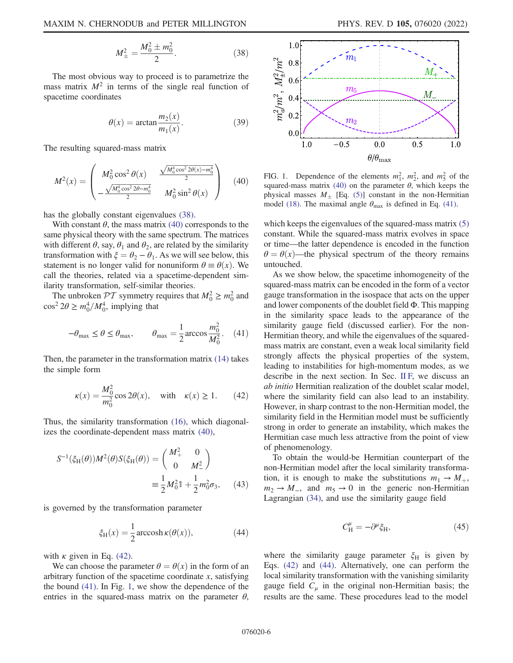$$
M_{\pm}^2 = \frac{M_0^2 \pm m_0^2}{2}.
$$
 (38)

The most obvious way to proceed is to parametrize the mass matrix  $M^2$  in terms of the single real function of spacetime coordinates

$$
\theta(x) = \arctan \frac{m_2(x)}{m_1(x)}.
$$
\n(39)

<span id="page-5-0"></span>The resulting squared-mass matrix

$$
M^{2}(x) = \begin{pmatrix} M_{0}^{2} \cos^{2} \theta(x) & \frac{\sqrt{M_{0}^{4} \cos^{2} 2\theta(x) - m_{0}^{4}}}{2} \\ -\frac{\sqrt{M_{0}^{4} \cos^{2} 2\theta - m_{0}^{4}}}{2} & M_{0}^{2} \sin^{2} \theta(x) \end{pmatrix}
$$
(40)

has the globally constant eigenvalues [\(38\)](#page-4-7).

With constant  $\theta$ , the mass matrix [\(40\)](#page-5-0) corresponds to the same physical theory with the same spectrum. The matrices with different  $\theta$ , say,  $\theta_1$  and  $\theta_2$ , are related by the similarity transformation with  $\xi = \theta_2 - \theta_1$ . As we will see below, this statement is no longer valid for nonuniform  $\theta \equiv \theta(x)$ . We call the theories, related via a spacetime-dependent similarity transformation, self-similar theories.

<span id="page-5-2"></span>The unbroken  $\mathcal{PT}$  symmetry requires that  $M_0^2 \ge m_0^2$  and  $\cos^2 2\theta \ge m_0^4/M_0^4$ , implying that

$$
-\theta_{\text{max}} \le \theta \le \theta_{\text{max}}, \qquad \theta_{\text{max}} = \frac{1}{2} \arccos \frac{m_0^2}{M_0^2}.
$$
 (41)

<span id="page-5-1"></span>Then, the parameter in the transformation matrix [\(14\)](#page-2-2) takes the simple form

$$
\kappa(x) = \frac{M_0^2}{m_0^2} \cos 2\theta(x), \quad \text{with} \quad \kappa(x) \ge 1. \tag{42}
$$

Thus, the similarity transformation [\(16\),](#page-2-0) which diagonalizes the coordinate-dependent mass matrix [\(40\),](#page-5-0)

$$
S^{-1}(\xi_{\rm H}(\theta))M^{2}(\theta)S(\xi_{\rm H}(\theta)) = \begin{pmatrix} M_{+}^{2} & 0 \\ 0 & M_{-}^{2} \end{pmatrix}
$$

$$
\equiv \frac{1}{2}M_{0}^{2}\mathbb{1} + \frac{1}{2}m_{0}^{2}\sigma_{3}, \qquad (43)
$$

<span id="page-5-4"></span>is governed by the transformation parameter

$$
\xi_{\rm H}(x) = \frac{1}{2} \operatorname{arccosh} \kappa(\theta(x)),\tag{44}
$$

with  $\kappa$  given in Eq. [\(42\)](#page-5-1).

We can choose the parameter  $\theta = \theta(x)$  in the form of an arbitrary function of the spacetime coordinate x, satisfying the bound [\(41\).](#page-5-2) In Fig. [1,](#page-5-3) we show the dependence of the entries in the squared-mass matrix on the parameter  $\theta$ ,

<span id="page-5-3"></span>

FIG. 1. Dependence of the elements  $m_1^2$ ,  $m_2^2$ , and  $m_5^2$  of the squared-mass matrix [\(40\)](#page-5-0) on the parameter  $\theta$ , which keeps the physical masses  $M_{\pm}$  [Eq. [\(5\)\]](#page-1-4) constant in the non-Hermitian model [\(18\).](#page-3-2) The maximal angle  $\theta_{\text{max}}$  is defined in Eq. [\(41\).](#page-5-2)

which keeps the eigenvalues of the squared-mass matrix [\(5\)](#page-1-4) constant. While the squared-mass matrix evolves in space or time—the latter dependence is encoded in the function  $\theta = \theta(x)$ —the physical spectrum of the theory remains untouched.

As we show below, the spacetime inhomogeneity of the squared-mass matrix can be encoded in the form of a vector gauge transformation in the isospace that acts on the upper and lower components of the doublet field Φ. This mapping in the similarity space leads to the appearance of the similarity gauge field (discussed earlier). For the non-Hermitian theory, and while the eigenvalues of the squaredmass matrix are constant, even a weak local similarity field strongly affects the physical properties of the system, leading to instabilities for high-momentum modes, as we describe in the next section. In Sec. [II F,](#page-8-0) we discuss an ab initio Hermitian realization of the doublet scalar model, where the similarity field can also lead to an instability. However, in sharp contrast to the non-Hermitian model, the similarity field in the Hermitian model must be sufficiently strong in order to generate an instability, which makes the Hermitian case much less attractive from the point of view of phenomenology.

<span id="page-5-5"></span>To obtain the would-be Hermitian counterpart of the non-Hermitian model after the local similarity transformation, it is enough to make the substitutions  $m_1 \rightarrow M_+$ ,  $m_2 \rightarrow M_-,$  and  $m_5 \rightarrow 0$  in the generic non-Hermitian Lagrangian [\(34\)](#page-4-4), and use the similarity gauge field

$$
C_{\rm H}^{\mu} = -\partial^{\mu}\xi_{\rm H},\tag{45}
$$

<span id="page-5-6"></span>where the similarity gauge parameter  $\xi_H$  is given by Eqs. [\(42\)](#page-5-1) and [\(44\).](#page-5-4) Alternatively, one can perform the local similarity transformation with the vanishing similarity gauge field  $C_u$  in the original non-Hermitian basis; the results are the same. These procedures lead to the model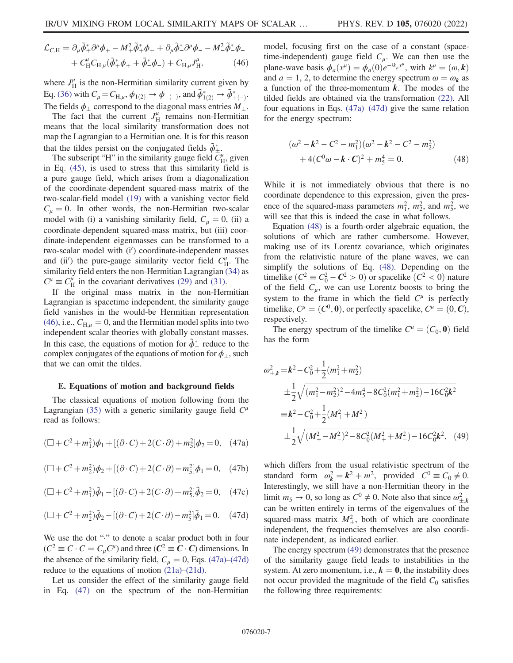$$
\mathcal{L}_{C,H} = \partial_{\mu} \tilde{\phi}_{+}^{*} \partial^{\mu} \phi_{+} - M_{+}^{2} \tilde{\phi}_{+}^{*} \phi_{+} + \partial_{\mu} \tilde{\phi}_{-}^{*} \partial^{\mu} \phi_{-} - M_{-}^{2} \tilde{\phi}_{-}^{*} \phi_{-} \n+ C_{H}^{\mu} C_{H,\mu} (\tilde{\phi}_{+}^{*} \phi_{+} + \tilde{\phi}_{-}^{*} \phi_{-}) + C_{H,\mu} J_{H}^{\mu}, \tag{46}
$$

where  $J_H^{\mu}$  is the non-Hermitian similarity current given by Eq. [\(36\)](#page-4-8) with  $C_{\mu} = C_{H,\mu}$ ,  $\phi_{1(2)} \to \phi_{+(-)}$ , and  $\tilde{\phi}_{1(2)}^* \to \tilde{\phi}_{+(-)}^*$ . The fields  $\phi_{\pm}$  correspond to the diagonal mass entries  $M_{\pm}$ .

The fact that the current  $J_H^{\mu}$  remains non-Hermitian means that the local similarity transformation does not map the Lagrangian to a Hermitian one. It is for this reason that the tildes persist on the conjugated fields  $\tilde{\phi}_{\pm}^*$ 

The subscript "H" in the similarity gauge field  $\dot{C}_{\rm H}^{\mu}$ , given in Eq. [\(45\),](#page-5-5) is used to stress that this similarity field is a pure gauge field, which arises from a diagonalization of the coordinate-dependent squared-mass matrix of the two-scalar-field model [\(19\)](#page-3-1) with a vanishing vector field  $C_{\mu} = 0$ . In other words, the non-Hermitian two-scalar model with (i) a vanishing similarity field,  $C_u = 0$ , (ii) a coordinate-dependent squared-mass matrix, but (iii) coordinate-independent eigenmasses can be transformed to a two-scalar model with (i') coordinate-independent masses and (ii') the pure-gauge similarity vector field  $C_{\rm H}^{\mu}$ . The similarity field enters the non-Hermitian Lagrangian [\(34\)](#page-4-4) as  $C^{\mu} \equiv C_{\text{H}}^{\mu}$  in the covariant derivatives [\(29\)](#page-4-5) and [\(31\).](#page-4-6)

If the original mass matrix in the non-Hermitian Lagrangian is spacetime independent, the similarity gauge field vanishes in the would-be Hermitian representation [\(46\)](#page-5-6), i.e.,  $C_{H,\mu} = 0$ , and the Hermitian model splits into two independent scalar theories with globally constant masses. In this case, the equations of motion for  $\tilde{\phi}^*_{\pm}$  reduce to the complex conjugates of the equations of motion for  $\phi_{\pm}$ , such that we can omit the tildes.

#### <span id="page-6-0"></span>E. Equations of motion and background fields

<span id="page-6-1"></span>The classical equations of motion following from the Lagrangian [\(35\)](#page-4-9) with a generic similarity gauge field  $C^{\mu}$ read as follows:

$$
(\Box + C^2 + m_1^2)\phi_1 + [(\partial \cdot C) + 2(C \cdot \partial) + m_5^2]\phi_2 = 0, \quad (47a)
$$

$$
(\Box + C^2 + m_2^2)\phi_2 + [(\partial \cdot C) + 2(C \cdot \partial) - m_5^2]\phi_1 = 0, \quad (47b)
$$

<span id="page-6-2"></span>
$$
(\Box + C^2 + m_1^2)\tilde{\phi}_1 - [(\partial \cdot C) + 2(C \cdot \partial) + m_5^2]\tilde{\phi}_2 = 0, \quad (47c)
$$

$$
(\Box + C^2 + m_2^2)\tilde{\phi}_2 - [(\partial \cdot C) + 2(C \cdot \partial) - m_5^2]\tilde{\phi}_1 = 0. \quad (47d)
$$

We use the dot "." to denote a scalar product both in four  $(C^2 \equiv C \cdot C = C_u C^{\mu})$  and three  $(C^2 \equiv C \cdot C)$  dimensions. In the absence of the similarity field,  $C_{\mu} = 0$ , Eqs. [\(47a\)](#page-6-1)–[\(47d\)](#page-6-2) reduce to the equations of motion [\(21a\)](#page-3-4)–[\(21d\).](#page-3-5)

Let us consider the effect of the similarity gauge field in Eq. [\(47\)](#page-6-1) on the spectrum of the non-Hermitian model, focusing first on the case of a constant (spacetime-independent) gauge field  $C_\mu$ . We can then use the plane-wave basis  $\phi_a(x^{\mu}) = \phi_a(0)e^{-ik_{\mu}x^{\mu}}$ , with  $k^{\mu} = (\omega, \mathbf{k})$ and  $a = 1, 2$ , to determine the energy spectrum  $\omega = \omega_k$  as a function of the three-momentum  $k$ . The modes of the tilded fields are obtained via the transformation [\(22\)](#page-3-6). All four equations in Eqs. [\(47a\)](#page-6-1)–[\(47d\)](#page-6-2) give the same relation for the energy spectrum:

<span id="page-6-3"></span>
$$
(\omega^2 - \mathbf{k}^2 - C^2 - m_1^2)(\omega^2 - \mathbf{k}^2 - C^2 - m_2^2) + 4(C^0 \omega - \mathbf{k} \cdot \mathbf{C})^2 + m_5^4 = 0.
$$
 (48)

While it is not immediately obvious that there is no coordinate dependence to this expression, given the presence of the squared-mass parameters  $m_1^2$ ,  $m_2^2$ , and  $m_5^2$ , we will see that this is indeed the case in what follows.

Equation [\(48\)](#page-6-3) is a fourth-order algebraic equation, the solutions of which are rather cumbersome. However, making use of its Lorentz covariance, which originates from the relativistic nature of the plane waves, we can simplify the solutions of Eq. [\(48\)](#page-6-3). Depending on the timelike  $(C^2 \equiv C_0^2 - C^2 > 0)$  or spacelike  $(C^2 < 0)$  nature of the field  $C_{\mu}$ , we can use Lorentz boosts to bring the system to the frame in which the field  $C^{\mu}$  is perfectly timelike,  $C^{\mu} = (C^0, \mathbf{0})$ , or perfectly spacelike,  $C^{\mu} = (0, \mathbf{C}),$ respectively.

<span id="page-6-4"></span>The energy spectrum of the timelike  $C^{\mu} = (C_0, \mathbf{0})$  field has the form

$$
\omega_{\pm,k}^2 = k^2 - C_0^2 + \frac{1}{2} (m_1^2 + m_2^2)
$$
  
\n
$$
\pm \frac{1}{2} \sqrt{(m_1^2 - m_2^2)^2 - 4m_3^4 - 8C_0^2 (m_1^2 + m_2^2) - 16C_0^2 k^2}
$$
  
\n
$$
\equiv k^2 - C_0^2 + \frac{1}{2} (M_+^2 + M_-^2)
$$
  
\n
$$
\pm \frac{1}{2} \sqrt{(M_+^2 - M_-^2)^2 - 8C_0^2 (M_+^2 + M_-^2) - 16C_0^2 k^2},
$$
 (49)

which differs from the usual relativistic spectrum of the standard form  $\omega_k^2 = k^2 + m^2$ , provided  $C^0 \equiv C_0 \neq 0$ . Interestingly, we still have a non-Hermitian theory in the limit  $m_5 \to 0$ , so long as  $C^0 \neq 0$ . Note also that since  $\omega_{\pm,k}^2$ can be written entirely in terms of the eigenvalues of the squared-mass matrix  $M_{\pm}^2$ , both of which are coordinate independent, the frequencies themselves are also coordinate independent, as indicated earlier.

<span id="page-6-5"></span>The energy spectrum [\(49\)](#page-6-4) demonstrates that the presence of the similarity gauge field leads to instabilities in the system. At zero momentum, i.e.,  $k = 0$ , the instability does not occur provided the magnitude of the field  $C_0$  satisfies the following three requirements: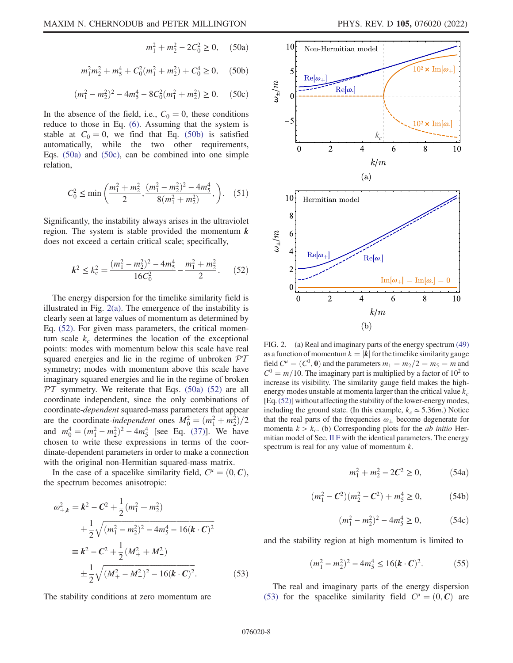$m_1^2 + m_2^2 - 2C_0^2 \ge 0$ , (50a)

<span id="page-7-0"></span>
$$
m_1^2 m_2^2 + m_5^4 + C_0^2 (m_1^2 + m_2^2) + C_0^4 \ge 0, \quad (50b)
$$

$$
(m_1^2 - m_2^2)^2 - 4m_5^4 - 8C_0^2(m_1^2 + m_2^2) \ge 0.
$$
 (50c)

<span id="page-7-1"></span>In the absence of the field, i.e.,  $C_0 = 0$ , these conditions reduce to those in Eq. [\(6\)](#page-1-1). Assuming that the system is stable at  $C_0 = 0$ , we find that Eq. [\(50b\)](#page-7-0) is satisfied automatically, while the two other requirements, Eqs. [\(50a\)](#page-6-5) and [\(50c\),](#page-7-1) can be combined into one simple relation,

$$
C_0^2 \le \min\left(\frac{m_1^2 + m_2^2}{2}, \frac{(m_1^2 - m_2^2)^2 - 4m_3^4}{8(m_1^2 + m_2^2)}, \right). \quad (51)
$$

<span id="page-7-3"></span>Significantly, the instability always arises in the ultraviolet region. The system is stable provided the momentum  $k$ does not exceed a certain critical scale; specifically,

$$
k^2 \le k_c^2 = \frac{(m_1^2 - m_2^2)^2 - 4m_5^4}{16C_0^2} - \frac{m_1^2 + m_2^2}{2}.
$$
 (52)

The energy dispersion for the timelike similarity field is illustrated in Fig. [2\(a\)](#page-7-2). The emergence of the instability is clearly seen at large values of momentum as determined by Eq. [\(52\)](#page-7-3). For given mass parameters, the critical momentum scale  $k_c$  determines the location of the exceptional points: modes with momentum below this scale have real squared energies and lie in the regime of unbroken  $\mathcal{PT}$ symmetry; modes with momentum above this scale have imaginary squared energies and lie in the regime of broken  $PT$  symmetry. We reiterate that Eqs. [\(50a\)](#page-6-5)–[\(52\)](#page-7-3) are all coordinate independent, since the only combinations of coordinate-dependent squared-mass parameters that appear are the coordinate-independent ones  $M_0^2 = (m_1^2 + m_2^2)/2$ and  $m_0^4 = (m_1^2 - m_2^2)^2 - 4m_5^4$  [see Eq. [\(37\)\]](#page-4-10). We have chosen to write these expressions in terms of the coordinate-dependent parameters in order to make a connection with the original non-Hermitian squared-mass matrix.

<span id="page-7-4"></span>In the case of a spacelike similarity field,  $C^{\mu} = (0, \mathbf{C}),$ the spectrum becomes anisotropic:

$$
\omega_{\pm,k}^2 = \mathbf{k}^2 - \mathbf{C}^2 + \frac{1}{2} (m_1^2 + m_2^2)
$$
  
\n
$$
\pm \frac{1}{2} \sqrt{(m_1^2 - m_2^2)^2 - 4m_3^4 - 16(\mathbf{k} \cdot \mathbf{C})^2}
$$
  
\n
$$
\equiv \mathbf{k}^2 - \mathbf{C}^2 + \frac{1}{2} (M_+^2 + M_-^2)
$$
  
\n
$$
\pm \frac{1}{2} \sqrt{(M_+^2 - M_-^2)^2 - 16(\mathbf{k} \cdot \mathbf{C})^2}.
$$
 (53)

The stability conditions at zero momentum are

<span id="page-7-2"></span>

FIG. 2. (a) Real and imaginary parts of the energy spectrum [\(49\)](#page-6-4) as a function of momentum  $k = |k|$  for the timelike similarity gauge field  $C^{\mu} = (C^0, \mathbf{0})$  and the parameters  $m_1 = m_2/2 = m_5 = m$  and  $C<sup>0</sup> = m/10$ . The imaginary part is multiplied by a factor of 10<sup>2</sup> to increase its visibility. The similarity gauge field makes the highenergy modes unstable at momenta larger than the critical value  $k_c$ [Eq.[\(52\)\]](#page-7-3) without affecting the stability of the lower-energy modes, including the ground state. (In this example,  $k_c \approx 5.36m$ .) Notice that the real parts of the frequencies  $\omega_+$  become degenerate for momenta  $k > k_c$ . (b) Corresponding plots for the *ab initio* Hermitian model of Sec. [II F](#page-8-0) with the identical parameters. The energy spectrum is real for any value of momentum  $k$ .

$$
m_1^2 + m_2^2 - 2C^2 \ge 0,\tag{54a}
$$

$$
(m_1^2 - C^2)(m_2^2 - C^2) + m_5^4 \ge 0,
$$
 (54b)

$$
(m_1^2 - m_2^2)^2 - 4m_5^4 \ge 0,\t(54c)
$$

<span id="page-7-5"></span>and the stability region at high momentum is limited to

$$
(m_1^2 - m_2^2)^2 - 4m_5^4 \le 16(\mathbf{k} \cdot \mathbf{C})^2. \tag{55}
$$

The real and imaginary parts of the energy dispersion [\(53\)](#page-7-4) for the spacelike similarity field  $C^{\mu} = (0, \mathcal{C})$  are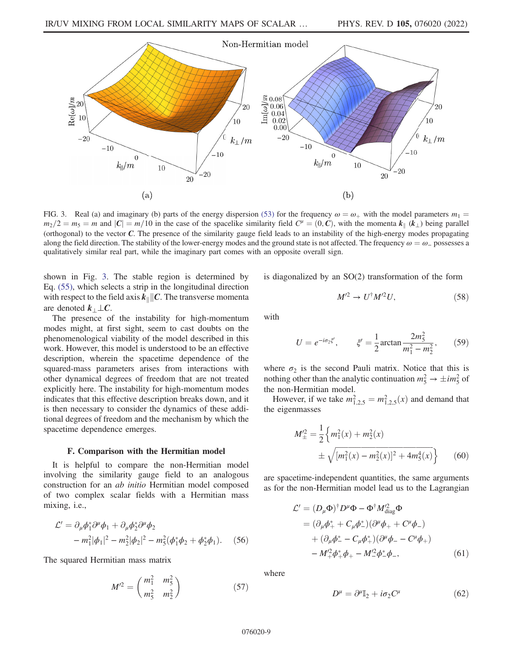<span id="page-8-1"></span>

FIG. 3. Real (a) and imaginary (b) parts of the energy dispersion [\(53\)](#page-7-4) for the frequency  $\omega = \omega_+$  with the model parameters  $m_1 =$  $m_2/2 = m_5 = m$  and  $|C| = m/10$  in the case of the spacelike similarity field  $C^{\mu} = (0, C)$ , with the momenta  $k_{\parallel} (k_{\perp})$  being parallel (orthogonal) to the vector C. The presence of the similarity gauge field leads to an instability of the high-energy modes propagating along the field direction. The stability of the lower-energy modes and the ground state is not affected. The frequency  $\omega = \omega_{-}$  possesses a qualitatively similar real part, while the imaginary part comes with an opposite overall sign.

shown in Fig. [3](#page-8-1). The stable region is determined by Eq. [\(55\),](#page-7-5) which selects a strip in the longitudinal direction with respect to the field axis  $k_{\parallel}$   $\parallel$  C. The transverse momenta are denoted  $k_\perp \perp C$ .

The presence of the instability for high-momentum modes might, at first sight, seem to cast doubts on the phenomenological viability of the model described in this work. However, this model is understood to be an effective description, wherein the spacetime dependence of the squared-mass parameters arises from interactions with other dynamical degrees of freedom that are not treated explicitly here. The instability for high-momentum modes indicates that this effective description breaks down, and it is then necessary to consider the dynamics of these additional degrees of freedom and the mechanism by which the spacetime dependence emerges.

# F. Comparison with the Hermitian model

<span id="page-8-0"></span>It is helpful to compare the non-Hermitian model involving the similarity gauge field to an analogous construction for an ab initio Hermitian model composed of two complex scalar fields with a Hermitian mass mixing, i.e.,

<span id="page-8-5"></span>
$$
\mathcal{L}' = \partial_{\mu} \phi_{1}^{*} \partial^{\mu} \phi_{1} + \partial_{\mu} \phi_{2}^{*} \partial^{\mu} \phi_{2} - m_{1}^{2} |\phi_{1}|^{2} - m_{2}^{2} |\phi_{2}|^{2} - m_{5}^{2} (\phi_{1}^{*} \phi_{2} + \phi_{2}^{*} \phi_{1}).
$$
 (56)

<span id="page-8-4"></span>The squared Hermitian mass matrix

$$
M^{\prime 2} = \begin{pmatrix} m_1^2 & m_5^2 \\ m_5^2 & m_2^2 \end{pmatrix}
$$
 (57)

is diagonalized by an SO(2) transformation of the form

$$
M^{\prime 2} \to U^{\dagger} M^{\prime 2} U,\tag{58}
$$

<span id="page-8-2"></span>with

$$
U = e^{-i\sigma_2 \xi'}, \qquad \xi' = \frac{1}{2} \arctan \frac{2m_{5}^{2}}{m_{1}^{2} - m_{2}^{2}}, \qquad (59)
$$

where  $\sigma_2$  is the second Pauli matrix. Notice that this is nothing other than the analytic continuation  $m_5^2 \rightarrow \pm i m_5^2$  of the non-Hermitian model.

<span id="page-8-3"></span>However, if we take  $m_{1,2,5}^2 = m_{1,2,5}^2(x)$  and demand that the eigenmasses

$$
M_{\pm}^{\prime 2} = \frac{1}{2} \left\{ m_1^2(x) + m_2^2(x) \pm \sqrt{[m_1^2(x) - m_2^2(x)]^2 + 4m_3^4(x)} \right\}
$$
 (60)

<span id="page-8-6"></span>are spacetime-independent quantities, the same arguments as for the non-Hermitian model lead us to the Lagrangian

$$
\mathcal{L}' = (D_{\mu}\Phi)^{\dagger} D^{\mu}\Phi - \Phi^{\dagger} M_{\text{diag}}^{2} \Phi \n= (\partial_{\mu}\phi_{+}^{*} + C_{\mu}\phi_{-}^{*})(\partial^{\mu}\phi_{+} + C^{\mu}\phi_{-}) \n+ (\partial_{\mu}\phi_{-}^{*} - C_{\mu}\phi_{+}^{*})(\partial^{\mu}\phi_{-} - C^{\mu}\phi_{+}) \n- M_{+}^{2}\phi_{+}^{*}\phi_{+} - M_{-}^{2}\phi_{-}^{*}\phi_{-},
$$
\n(61)

where

$$
D^{\mu} = \partial^{\mu} \mathbb{I}_2 + i \sigma_2 C^{\mu} \tag{62}
$$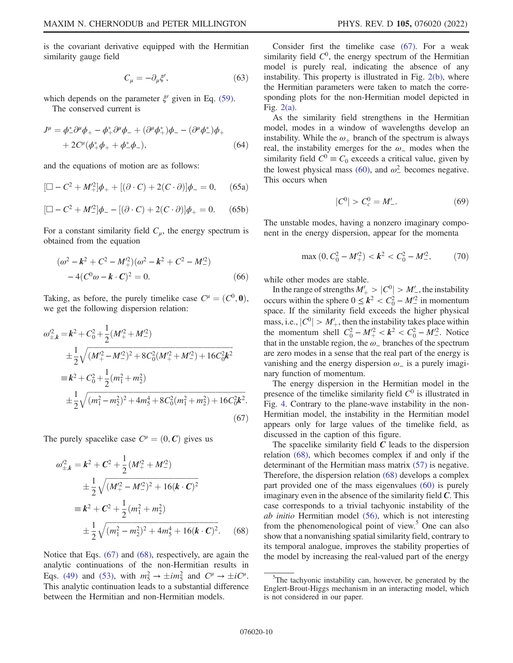$$
C_{\mu} = -\partial_{\mu}\xi',\tag{63}
$$

which depends on the parameter  $\xi'$  given in Eq. [\(59\)](#page-8-2). The conserved current is

$$
J^{\mu} = \phi_{-}^{*} \partial^{\mu} \phi_{+} - \phi_{+}^{*} \partial^{\mu} \phi_{-} + (\partial^{\mu} \phi_{+}^{*}) \phi_{-} - (\partial^{\mu} \phi_{-}^{*}) \phi_{+} + 2C^{\mu} (\phi_{+}^{*} \phi_{+} + \phi_{-}^{*} \phi_{-}),
$$
 (64)

and the equations of motion are as follows:

$$
[\Box - C^2 + M^2_+] \phi_+ + [(\partial \cdot C) + 2(C \cdot \partial)] \phi_- = 0, \quad (65a)
$$

$$
[\Box - C^2 + M^2] \phi_- - [(\partial \cdot C) + 2(C \cdot \partial)] \phi_+ = 0. \quad (65b)
$$

For a constant similarity field  $C_{\mu}$ , the energy spectrum is obtained from the equation

$$
(\omega^2 - \mathbf{k}^2 + C^2 - M_+^2)(\omega^2 - \mathbf{k}^2 + C^2 - M_-^2) - 4(C^0 \omega - \mathbf{k} \cdot \mathbf{C})^2 = 0.
$$
 (66)

<span id="page-9-0"></span>Taking, as before, the purely timelike case  $C^{\mu} = (C^0, 0)$ , we get the following dispersion relation:

$$
\omega_{\pm,k}^2 = k^2 + C_0^2 + \frac{1}{2} (M_+^2 + M_-^2)
$$
  
\n
$$
\pm \frac{1}{2} \sqrt{(M_+^2 - M_-^2)^2 + 8C_0^2 (M_+^2 + M_-^2) + 16C_0^2 k^2}
$$
  
\n
$$
\equiv k^2 + C_0^2 + \frac{1}{2} (m_1^2 + m_2^2)
$$
  
\n
$$
\pm \frac{1}{2} \sqrt{(m_1^2 - m_2^2)^2 + 4m_5^4 + 8C_0^2 (m_1^2 + m_2^2) + 16C_0^2 k^2}.
$$
  
\n(67)

<span id="page-9-1"></span>The purely spacelike case  $C^{\mu} = (0, \mathbf{C})$  gives us

$$
\omega_{\pm,k}^2 = k^2 + C^2 + \frac{1}{2} (M_+^2 + M_-^2)
$$
  
\n
$$
\pm \frac{1}{2} \sqrt{(M_+^2 - M_-^2)^2 + 16(k \cdot C)^2}
$$
  
\n
$$
\equiv k^2 + C^2 + \frac{1}{2} (m_1^2 + m_2^2)
$$
  
\n
$$
\pm \frac{1}{2} \sqrt{(m_1^2 - m_2^2)^2 + 4m_3^4 + 16(k \cdot C)^2}.
$$
 (68)

Notice that Eqs. [\(67\)](#page-9-0) and [\(68\),](#page-9-1) respectively, are again the analytic continuations of the non-Hermitian results in Eqs. [\(49\)](#page-6-4) and [\(53\),](#page-7-4) with  $m_5^2 \rightarrow \pm im_5^2$  and  $C^{\mu} \rightarrow \pm iC^{\mu}$ . This analytic continuation leads to a substantial difference between the Hermitian and non-Hermitian models.

Consider first the timelike case [\(67\).](#page-9-0) For a weak similarity field  $C<sup>0</sup>$ , the energy spectrum of the Hermitian model is purely real, indicating the absence of any instability. This property is illustrated in Fig. [2\(b\)](#page-7-2), where the Hermitian parameters were taken to match the corresponding plots for the non-Hermitian model depicted in Fig. [2\(a\).](#page-7-2)

As the similarity field strengthens in the Hermitian model, modes in a window of wavelengths develop an instability. While the  $\omega_+$  branch of the spectrum is always real, the instability emerges for the  $\omega_$  modes when the similarity field  $C^0 \equiv C_0$  exceeds a critical value, given by the lowest physical mass [\(60\),](#page-8-3) and  $\omega^2$  becomes negative. This occurs when

$$
|C^0| > C_c^0 = M'_-.
$$
 (69)

The unstable modes, having a nonzero imaginary component in the energy dispersion, appear for the momenta

$$
\max(0, C_0^2 - M_+^2) < k^2 < C_0^2 - M_-^2,\tag{70}
$$

while other modes are stable.

In the range of strengths  $M'_{+} > |C^0| > M'_{-}$ , the instability occurs within the sphere  $0 \le k^2 < C_0^2 - M'^2$  in momentum space. If the similarity field exceeds the higher physical mass, i.e.,  $|C^0| > M'_{+}$ , then the instability takes place within the momentum shell  $C_0^2 - M_+^2 < k^2 < C_0^2 - M_-^2$ . Notice that in the unstable region, the  $\omega_$  branches of the spectrum are zero modes in a sense that the real part of the energy is vanishing and the energy dispersion  $\omega$ <sub>-</sub> is a purely imaginary function of momentum.

The energy dispersion in the Hermitian model in the presence of the timelike similarity field  $C<sup>0</sup>$  is illustrated in Fig. [4.](#page-10-1) Contrary to the plane-wave instability in the non-Hermitian model, the instability in the Hermitian model appears only for large values of the timelike field, as discussed in the caption of this figure.

The spacelike similarity field  $C$  leads to the dispersion relation [\(68\),](#page-9-1) which becomes complex if and only if the determinant of the Hermitian mass matrix [\(57\)](#page-8-4) is negative. Therefore, the dispersion relation [\(68\)](#page-9-1) develops a complex part provided one of the mass eigenvalues [\(60\)](#page-8-3) is purely imaginary even in the absence of the similarity field  $C$ . This case corresponds to a trivial tachyonic instability of the ab initio Hermitian model [\(56\)](#page-8-5), which is not interesting from the phenomenological point of view.<sup>5</sup> One can also show that a nonvanishing spatial similarity field, contrary to its temporal analogue, improves the stability properties of the model by increasing the real-valued part of the energy

<sup>&</sup>lt;sup>5</sup>The tachyonic instability can, however, be generated by the Englert-Brout-Higgs mechanism in an interacting model, which is not considered in our paper.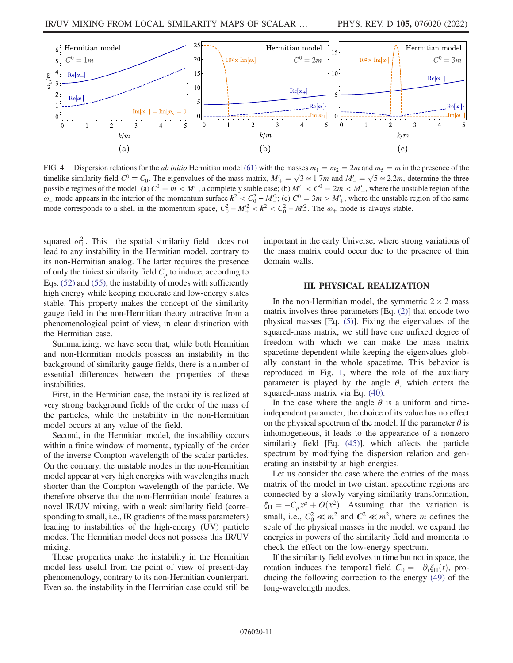<span id="page-10-1"></span>

FIG. 4. Dispersion relations for the *ab initio* Hermitian model [\(61\)](#page-8-6) with the masses  $m_1 = m_2 = 2m$  and  $m_5 = m$  in the presence of the timelike similarity field  $C^0 \equiv C_0$ . The eigenvalues of the mass matrix,  $M'_+ = \sqrt{3} \approx 1.7m$  and  $M'_- = \sqrt{5} \approx 2.2m$ , determine the three possible regimes of the model: (a)  $C^0 = m < M'$ , a completely stable case; (b)  $M'_{-} < C^0 = 2m < M'_{+}$ , where the unstable region of the ω\_ mode appears in the interior of the momentum surface  $k^2 < C_0^2 - M_c^2$ ; (c)  $C^0 = 3m > M'_+$ , where the unstable region of the same mode corresponds to a shell in the momentum space,  $C_0^2 - M_+^2 < k^2 < C_0^2 - M_-^2$ . The  $\omega_+$  mode is always stable.

squared  $\omega_{\pm}^2$ . This—the spatial similarity field—does not lead to any instability in the Hermitian model, contrary to its non-Hermitian analog. The latter requires the presence of only the tiniest similarity field  $C_\mu$  to induce, according to Eqs. [\(52\)](#page-7-3) and [\(55\)](#page-7-5), the instability of modes with sufficiently high energy while keeping moderate and low-energy states stable. This property makes the concept of the similarity gauge field in the non-Hermitian theory attractive from a phenomenological point of view, in clear distinction with the Hermitian case.

Summarizing, we have seen that, while both Hermitian and non-Hermitian models possess an instability in the background of similarity gauge fields, there is a number of essential differences between the properties of these instabilities.

First, in the Hermitian case, the instability is realized at very strong background fields of the order of the mass of the particles, while the instability in the non-Hermitian model occurs at any value of the field.

Second, in the Hermitian model, the instability occurs within a finite window of momenta, typically of the order of the inverse Compton wavelength of the scalar particles. On the contrary, the unstable modes in the non-Hermitian model appear at very high energies with wavelengths much shorter than the Compton wavelength of the particle. We therefore observe that the non-Hermitian model features a novel IR/UV mixing, with a weak similarity field (corresponding to small, i.e., IR gradients of the mass parameters) leading to instabilities of the high-energy (UV) particle modes. The Hermitian model does not possess this IR/UV mixing.

These properties make the instability in the Hermitian model less useful from the point of view of present-day phenomenology, contrary to its non-Hermitian counterpart. Even so, the instability in the Hermitian case could still be important in the early Universe, where strong variations of the mass matrix could occur due to the presence of thin domain walls.

### III. PHYSICAL REALIZATION

<span id="page-10-0"></span>In the non-Hermitian model, the symmetric  $2 \times 2$  mass matrix involves three parameters [Eq. [\(2\)](#page-1-5)] that encode two physical masses [Eq. [\(5\)](#page-1-4)]. Fixing the eigenvalues of the squared-mass matrix, we still have one unfixed degree of freedom with which we can make the mass matrix spacetime dependent while keeping the eigenvalues globally constant in the whole spacetime. This behavior is reproduced in Fig. [1](#page-5-3), where the role of the auxiliary parameter is played by the angle  $\theta$ , which enters the squared-mass matrix via Eq. [\(40\)](#page-5-0).

In the case where the angle  $\theta$  is a uniform and timeindependent parameter, the choice of its value has no effect on the physical spectrum of the model. If the parameter  $\theta$  is inhomogeneous, it leads to the appearance of a nonzero similarity field [Eq. [\(45\)](#page-5-5)], which affects the particle spectrum by modifying the dispersion relation and generating an instability at high energies.

Let us consider the case where the entries of the mass matrix of the model in two distant spacetime regions are connected by a slowly varying similarity transformation,  $\xi_H = -C_\mu x^\mu + O(x^2)$ . Assuming that the variation is small, i.e.,  $C_0^2 \ll m^2$  and  $C^2 \ll m^2$ , where m defines the scale of the physical masses in the model, we expand the energies in powers of the similarity field and momenta to check the effect on the low-energy spectrum.

<span id="page-10-2"></span>If the similarity field evolves in time but not in space, the rotation induces the temporal field  $C_0 = -\partial_t \xi_H(t)$ , producing the following correction to the energy [\(49\)](#page-6-4) of the long-wavelength modes: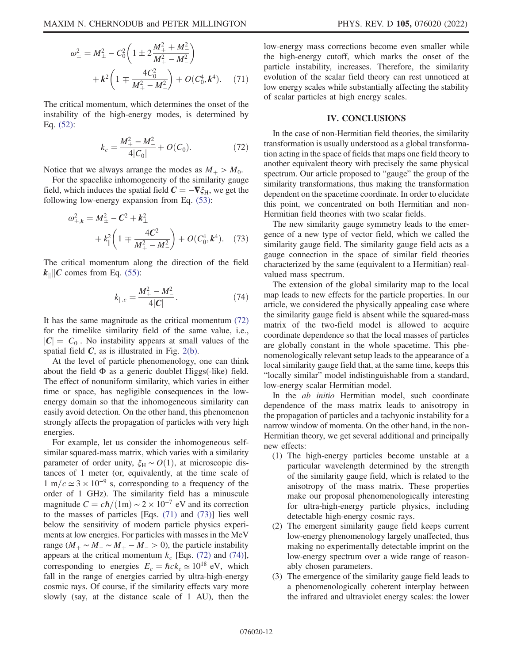$$
\omega_{\pm}^{2} = M_{\pm}^{2} - C_{0}^{2} \left( 1 \pm 2 \frac{M_{+}^{2} + M_{-}^{2}}{M_{+}^{2} - M_{-}^{2}} \right) + k^{2} \left( 1 \mp \frac{4C_{0}^{2}}{M_{+}^{2} - M_{-}^{2}} \right) + O(C_{0}^{4}, k^{4}). \tag{71}
$$

<span id="page-11-1"></span>The critical momentum, which determines the onset of the instability of the high-energy modes, is determined by Eq. [\(52\)](#page-7-3):

$$
k_c = \frac{M_+^2 - M_-^2}{4|C_0|} + O(C_0). \tag{72}
$$

Notice that we always arrange the modes as  $M_+ > M_0$ .

<span id="page-11-2"></span>For the spacelike inhomogeneity of the similarity gauge field, which induces the spatial field  $C = -\nabla \xi_H$ , we get the following low-energy expansion from Eq. [\(53\)](#page-7-4):

$$
\omega_{\pm,k}^2 = M_{\pm}^2 - C^2 + k_{\perp}^2
$$
  
+  $k_{\parallel}^2 \left( 1 \mp \frac{4C^2}{M_{+}^2 - M_{-}^2} \right) + O(C_0^4, k^4)$ . (73)

<span id="page-11-3"></span>The critical momentum along the direction of the field  $k_{\parallel}$  C comes from Eq. [\(55\)](#page-7-5):

$$
k_{\parallel,c} = \frac{M_+^2 - M_-^2}{4|C|}.\tag{74}
$$

It has the same magnitude as the critical momentum [\(72\)](#page-11-1) for the timelike similarity field of the same value, i.e.,  $|C| = |C_0|$ . No instability appears at small values of the spatial field  $C$ , as is illustrated in Fig. [2\(b\)](#page-7-2).

At the level of particle phenomenology, one can think about the field  $\Phi$  as a generic doublet Higgs(-like) field. The effect of nonuniform similarity, which varies in either time or space, has negligible consequences in the lowenergy domain so that the inhomogeneous similarity can easily avoid detection. On the other hand, this phenomenon strongly affects the propagation of particles with very high energies.

For example, let us consider the inhomogeneous selfsimilar squared-mass matrix, which varies with a similarity parameter of order unity,  $\xi_H \sim O(1)$ , at microscopic distances of 1 meter (or, equivalently, at the time scale of  $1 \text{ m}/c \approx 3 \times 10^{-9} \text{ s}$ , corresponding to a frequency of the order of 1 GHz). The similarity field has a minuscule magnitude  $C = c\hbar/(1m) \sim 2 \times 10^{-7}$  eV and its correction to the masses of particles [Eqs. [\(71\)](#page-10-2) and [\(73\)\]](#page-11-2) lies well below the sensitivity of modern particle physics experiments at low energies. For particles with masses in the MeV range  $(M_+ \sim M_- \sim M_+ - M_- > 0)$ , the particle instability appears at the critical momentum  $k_c$  [Eqs. [\(72\)](#page-11-1) and [\(74\)](#page-11-3)], corresponding to energies  $E_c = \hbar c k_c \approx 10^{18} \text{ eV}$ , which fall in the range of energies carried by ultra-high-energy cosmic rays. Of course, if the similarity effects vary more slowly (say, at the distance scale of 1 AU), then the low-energy mass corrections become even smaller while the high-energy cutoff, which marks the onset of the particle instability, increases. Therefore, the similarity evolution of the scalar field theory can rest unnoticed at low energy scales while substantially affecting the stability of scalar particles at high energy scales.

### IV. CONCLUSIONS

<span id="page-11-0"></span>In the case of non-Hermitian field theories, the similarity transformation is usually understood as a global transformation acting in the space of fields that maps one field theory to another equivalent theory with precisely the same physical spectrum. Our article proposed to "gauge" the group of the similarity transformations, thus making the transformation dependent on the spacetime coordinate. In order to elucidate this point, we concentrated on both Hermitian and non-Hermitian field theories with two scalar fields.

The new similarity gauge symmetry leads to the emergence of a new type of vector field, which we called the similarity gauge field. The similarity gauge field acts as a gauge connection in the space of similar field theories characterized by the same (equivalent to a Hermitian) realvalued mass spectrum.

The extension of the global similarity map to the local map leads to new effects for the particle properties. In our article, we considered the physically appealing case where the similarity gauge field is absent while the squared-mass matrix of the two-field model is allowed to acquire coordinate dependence so that the local masses of particles are globally constant in the whole spacetime. This phenomenologically relevant setup leads to the appearance of a local similarity gauge field that, at the same time, keeps this "locally similar" model indistinguishable from a standard, low-energy scalar Hermitian model.

In the *ab initio* Hermitian model, such coordinate dependence of the mass matrix leads to anisotropy in the propagation of particles and a tachyonic instability for a narrow window of momenta. On the other hand, in the non-Hermitian theory, we get several additional and principally new effects:

- (1) The high-energy particles become unstable at a particular wavelength determined by the strength of the similarity gauge field, which is related to the anisotropy of the mass matrix. These properties make our proposal phenomenologically interesting for ultra-high-energy particle physics, including detectable high-energy cosmic rays.
- (2) The emergent similarity gauge field keeps current low-energy phenomenology largely unaffected, thus making no experimentally detectable imprint on the low-energy spectrum over a wide range of reasonably chosen parameters.
- (3) The emergence of the similarity gauge field leads to a phenomenologically coherent interplay between the infrared and ultraviolet energy scales: the lower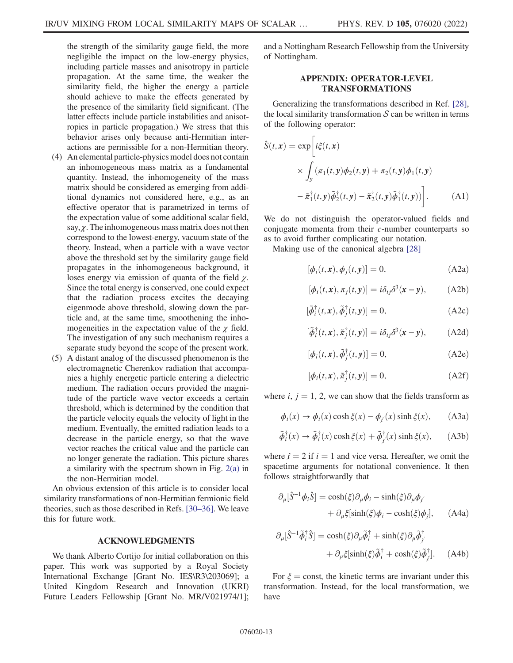the strength of the similarity gauge field, the more negligible the impact on the low-energy physics, including particle masses and anisotropy in particle propagation. At the same time, the weaker the similarity field, the higher the energy a particle should achieve to make the effects generated by the presence of the similarity field significant. (The latter effects include particle instabilities and anisotropies in particle propagation.) We stress that this behavior arises only because anti-Hermitian interactions are permissible for a non-Hermitian theory.

- (4) An elemental particle-physics model does not contain an inhomogeneous mass matrix as a fundamental quantity. Instead, the inhomogeneity of the mass matrix should be considered as emerging from additional dynamics not considered here, e.g., as an effective operator that is parametrized in terms of the expectation value of some additional scalar field, say,  $\chi$ . The inhomogeneous mass matrix does not then correspond to the lowest-energy, vacuum state of the theory. Instead, when a particle with a wave vector above the threshold set by the similarity gauge field propagates in the inhomogeneous background, it loses energy via emission of quanta of the field  $\chi$ . Since the total energy is conserved, one could expect that the radiation process excites the decaying eigenmode above threshold, slowing down the particle and, at the same time, smoothening the inhomogeneities in the expectation value of the  $\chi$  field. The investigation of any such mechanism requires a separate study beyond the scope of the present work.
- (5) A distant analog of the discussed phenomenon is the electromagnetic Cherenkov radiation that accompanies a highly energetic particle entering a dielectric medium. The radiation occurs provided the magnitude of the particle wave vector exceeds a certain threshold, which is determined by the condition that the particle velocity equals the velocity of light in the medium. Eventually, the emitted radiation leads to a decrease in the particle energy, so that the wave vector reaches the critical value and the particle can no longer generate the radiation. This picture shares a similarity with the spectrum shown in Fig. [2\(a\)](#page-7-2) in the non-Hermitian model.

An obvious extension of this article is to consider local similarity transformations of non-Hermitian fermionic field theories, such as those described in Refs. [\[30](#page-14-1)–[36](#page-14-2)]. We leave this for future work.

# ACKNOWLEDGMENTS

We thank Alberto Cortijo for initial collaboration on this paper. This work was supported by a Royal Society International Exchange [Grant No. IES\R3\203069]; a United Kingdom Research and Innovation (UKRI) Future Leaders Fellowship [Grant No. MR/V021974/1];

and a Nottingham Research Fellowship from the University of Nottingham.

# APPENDIX: OPERATOR-LEVEL TRANSFORMATIONS

Generalizing the transformations described in Ref. [[28](#page-13-21)], the local similarity transformation  $S$  can be written in terms of the following operator:

$$
\hat{S}(t, \mathbf{x}) = \exp\left[i\xi(t, \mathbf{x})\right]
$$
\n
$$
\times \int_{\mathbf{y}} (\pi_1(t, \mathbf{y})\phi_2(t, \mathbf{y}) + \pi_2(t, \mathbf{y})\phi_1(t, \mathbf{y})
$$
\n
$$
- \tilde{\pi}_1^{\dagger}(t, \mathbf{y})\tilde{\phi}_2^{\dagger}(t, \mathbf{y}) - \tilde{\pi}_2^{\dagger}(t, \mathbf{y})\tilde{\phi}_1^{\dagger}(t, \mathbf{y}))\right].
$$
\n(A1)

We do not distinguish the operator-valued fields and conjugate momenta from their c-number counterparts so as to avoid further complicating our notation.

Making use of the canonical algebra [[28](#page-13-21)]

$$
[\phi_i(t, \mathbf{x}), \phi_j(t, \mathbf{y})] = 0, \tag{A2a}
$$

$$
[\phi_i(t, \mathbf{x}), \pi_j(t, \mathbf{y})] = i\delta_{ij}\delta^3(\mathbf{x} - \mathbf{y}), \quad \text{(A2b)}
$$

$$
[\tilde{\phi}_i^{\dagger}(t,\mathbf{x}), \tilde{\phi}_j^{\dagger}(t,\mathbf{y})] = 0, \tag{A2c}
$$

$$
[\tilde{\phi}_i^{\dagger}(t,\mathbf{x}), \tilde{\pi}_j^{\dagger}(t,\mathbf{y})] = i\delta_{ij}\delta^3(\mathbf{x} - \mathbf{y}), \quad \text{(A2d)}
$$

$$
[\phi_i(t, \mathbf{x}), \tilde{\phi}_j^{\dagger}(t, \mathbf{y})] = 0, \tag{A2e}
$$

$$
[\phi_i(t, \mathbf{x}), \tilde{\pi}_j^{\dagger}(t, \mathbf{y})] = 0, \tag{A2f}
$$

where  $i, j = 1, 2$ , we can show that the fields transform as

$$
\phi_i(x) \to \phi_i(x) \cosh \xi(x) - \phi_{i'}(x) \sinh \xi(x), \quad (A3a)
$$

$$
\tilde{\phi}_i^{\dagger}(x) \to \tilde{\phi}_i^{\dagger}(x) \cosh \xi(x) + \tilde{\phi}_j^{\dagger}(x) \sinh \xi(x), \quad \text{(A3b)}
$$

where  $i = 2$  if  $i = 1$  and vice versa. Hereafter, we omit the spacetime arguments for notational convenience. It then follows straightforwardly that

$$
\partial_{\mu}[\hat{S}^{-1}\phi_{i}\hat{S}] = \cosh(\xi)\partial_{\mu}\phi_{i} - \sinh(\xi)\partial_{\mu}\phi_{j'}
$$

$$
+ \partial_{\mu}\xi[\sinh(\xi)\phi_{i} - \cosh(\xi)\phi_{j}], \qquad (A4a)
$$

$$
\partial_{\mu}[\hat{S}^{-1}\tilde{\phi}_{i}^{\dagger}\hat{S}] = \cosh(\xi)\partial_{\mu}\tilde{\phi}_{i}^{\dagger} + \sinh(\xi)\partial_{\mu}\tilde{\phi}_{j}^{\dagger} + \partial_{\mu}\xi[\sinh(\xi)\tilde{\phi}_{i}^{\dagger} + \cosh(\xi)\tilde{\phi}_{j}^{\dagger}]. \quad (A4b)
$$

For  $\xi$  = const, the kinetic terms are invariant under this transformation. Instead, for the local transformation, we have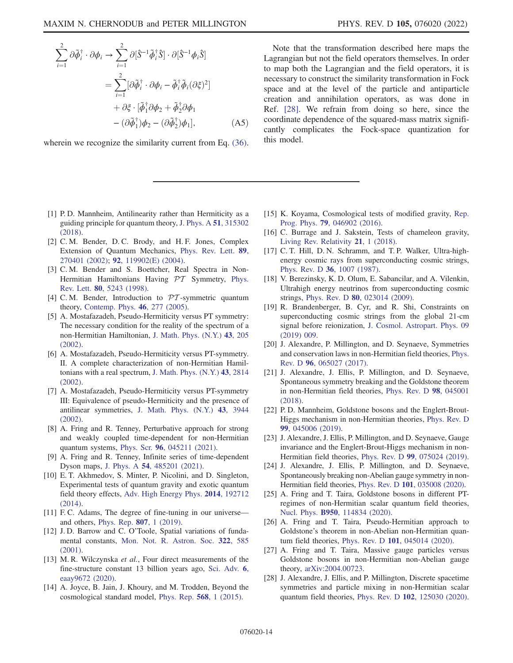$$
\sum_{i=1}^{2} \partial \tilde{\phi}_{i}^{\dagger} \cdot \partial \phi_{i} \rightarrow \sum_{i=1}^{2} \partial [\hat{S}^{-1} \tilde{\phi}_{i}^{\dagger} \hat{S}] \cdot \partial [\hat{S}^{-1} \phi_{i} \hat{S}]
$$
  

$$
= \sum_{i=1}^{2} [\partial \tilde{\phi}_{i}^{\dagger} \cdot \partial \phi_{i} - \tilde{\phi}_{i}^{\dagger} \tilde{\phi}_{i} (\partial \xi)^{2}]
$$
  

$$
+ \partial \xi \cdot [\tilde{\phi}_{1}^{\dagger} \partial \phi_{2} + \tilde{\phi}_{2}^{\dagger} \partial \phi_{1}
$$
  

$$
- (\partial \tilde{\phi}_{1}^{\dagger}) \phi_{2} - (\partial \tilde{\phi}_{2}^{\dagger}) \phi_{1}], \qquad (A5)
$$

wherein we recognize the similarity current from Eq.  $(36)$ .

Note that the transformation described here maps the Lagrangian but not the field operators themselves. In order to map both the Lagrangian and the field operators, it is necessary to construct the similarity transformation in Fock space and at the level of the particle and antiparticle creation and annihilation operators, as was done in Ref. [[28](#page-13-21)]. We refrain from doing so here, since the coordinate dependence of the squared-mass matrix significantly complicates the Fock-space quantization for this model.

- <span id="page-13-0"></span>[1] P.D. Mannheim, Antilinearity rather than Hermiticity as a guiding principle for quantum theory, [J. Phys. A](https://doi.org/10.1088/1751-8121/aac035) 51, 315302 [\(2018\).](https://doi.org/10.1088/1751-8121/aac035)
- <span id="page-13-1"></span>[2] C. M. Bender, D. C. Brody, and H. F. Jones, Complex Extension of Quantum Mechanics, [Phys. Rev. Lett.](https://doi.org/10.1103/PhysRevLett.89.270401) 89, [270401 \(2002\);](https://doi.org/10.1103/PhysRevLett.89.270401) 92[, 119902\(E\) \(2004\).](https://doi.org/10.1103/PhysRevLett.92.119902)
- <span id="page-13-2"></span>[3] C. M. Bender and S. Boettcher, Real Spectra in Non-Hermitian Hamiltonians Having  $PT$  Symmetry, [Phys.](https://doi.org/10.1103/PhysRevLett.80.5243) Rev. Lett. 80[, 5243 \(1998\)](https://doi.org/10.1103/PhysRevLett.80.5243).
- <span id="page-13-3"></span>[4] C.M. Bender, Introduction to  $\mathcal{PT}$ -symmetric quantum theory, [Contemp. Phys.](https://doi.org/10.1080/00107500072632) 46, 277 (2005).
- <span id="page-13-4"></span>[5] A. Mostafazadeh, Pseudo-Hermiticity versus PT symmetry: The necessary condition for the reality of the spectrum of a non-Hermitian Hamiltonian, [J. Math. Phys. \(N.Y.\)](https://doi.org/10.1063/1.1418246) 43, 205 [\(2002\).](https://doi.org/10.1063/1.1418246)
- [6] A. Mostafazadeh, Pseudo-Hermiticity versus PT-symmetry. II. A complete characterization of non-Hermitian Hamiltonians with a real spectrum, [J. Math. Phys. \(N.Y.\)](https://doi.org/10.1063/1.1461427) 43, 2814 [\(2002\).](https://doi.org/10.1063/1.1461427)
- <span id="page-13-5"></span>[7] A. Mostafazadeh, Pseudo-Hermiticity versus PT-symmetry III: Equivalence of pseudo-Hermiticity and the presence of antilinear symmetries, [J. Math. Phys. \(N.Y.\)](https://doi.org/10.1063/1.1489072) 43, 3944 [\(2002\).](https://doi.org/10.1063/1.1489072)
- <span id="page-13-6"></span>[8] A. Fring and R. Tenney, Perturbative approach for strong and weakly coupled time-dependent for non-Hermitian quantum systems, Phys. Scr. 96[, 045211 \(2021\).](https://doi.org/10.1088/1402-4896/abe259)
- <span id="page-13-7"></span>[9] A. Fring and R. Tenney, Infinite series of time-dependent Dyson maps, J. Phys. A 54[, 485201 \(2021\)](https://doi.org/10.1088/1751-8121/ac31a0).
- <span id="page-13-8"></span>[10] E. T. Akhmedov, S. Minter, P. Nicolini, and D. Singleton, Experimental tests of quantum gravity and exotic quantum field theory effects, [Adv. High Energy Phys.](https://doi.org/10.1155/2014/192712) 2014, 192712 [\(2014\).](https://doi.org/10.1155/2014/192712)
- <span id="page-13-9"></span>[11] F. C. Adams, The degree of fine-tuning in our universe and others, [Phys. Rep.](https://doi.org/10.1016/j.physrep.2019.02.001) 807, 1 (2019).
- <span id="page-13-10"></span>[12] J.D. Barrow and C. O'Toole, Spatial variations of fundamental constants, [Mon. Not. R. Astron. Soc.](https://doi.org/10.1046/j.1365-8711.2001.04157.x) 322, 585 [\(2001\).](https://doi.org/10.1046/j.1365-8711.2001.04157.x)
- <span id="page-13-11"></span>[13] M. R. Wilczynska et al., Four direct measurements of the fine-structure constant 13 billion years ago, [Sci. Adv.](https://doi.org/10.1126/sciadv.aay9672) 6, [eaay9672 \(2020\)](https://doi.org/10.1126/sciadv.aay9672).
- <span id="page-13-12"></span>[14] A. Joyce, B. Jain, J. Khoury, and M. Trodden, Beyond the cosmological standard model, [Phys. Rep.](https://doi.org/10.1016/j.physrep.2014.12.002) 568, 1 (2015).
- [15] K. Koyama, Cosmological tests of modified gravity, [Rep.](https://doi.org/10.1088/0034-4885/79/4/046902) Prog. Phys. 79[, 046902 \(2016\).](https://doi.org/10.1088/0034-4885/79/4/046902)
- <span id="page-13-13"></span>[16] C. Burrage and J. Sakstein, Tests of chameleon gravity, [Living Rev. Relativity](https://doi.org/10.1007/s41114-018-0011-x) 21, 1 (2018).
- <span id="page-13-14"></span>[17] C. T. Hill, D. N. Schramm, and T. P. Walker, Ultra-highenergy cosmic rays from superconducting cosmic strings, Phys. Rev. D 36[, 1007 \(1987\).](https://doi.org/10.1103/PhysRevD.36.1007)
- [18] V. Berezinsky, K. D. Olum, E. Sabancilar, and A. Vilenkin, Ultrahigh energy neutrinos from superconducting cosmic strings, Phys. Rev. D 80[, 023014 \(2009\)](https://doi.org/10.1103/PhysRevD.80.023014).
- <span id="page-13-15"></span>[19] R. Brandenberger, B. Cyr, and R. Shi, Constraints on superconducting cosmic strings from the global 21-cm signal before reionization, [J. Cosmol. Astropart. Phys. 09](https://doi.org/10.1088/1475-7516/2019/09/009) [\(2019\) 009.](https://doi.org/10.1088/1475-7516/2019/09/009)
- <span id="page-13-16"></span>[20] J. Alexandre, P. Millington, and D. Seynaeve, Symmetries and conservation laws in non-Hermitian field theories, [Phys.](https://doi.org/10.1103/PhysRevD.96.065027) Rev. D 96[, 065027 \(2017\)](https://doi.org/10.1103/PhysRevD.96.065027).
- <span id="page-13-19"></span>[21] J. Alexandre, J. Ellis, P. Millington, and D. Seynaeve, Spontaneous symmetry breaking and the Goldstone theorem in non-Hermitian field theories, [Phys. Rev. D](https://doi.org/10.1103/PhysRevD.98.045001) 98, 045001 [\(2018\).](https://doi.org/10.1103/PhysRevD.98.045001)
- <span id="page-13-17"></span>[22] P. D. Mannheim, Goldstone bosons and the Englert-Brout-Higgs mechanism in non-Hermitian theories, [Phys. Rev. D](https://doi.org/10.1103/PhysRevD.99.045006) 99[, 045006 \(2019\).](https://doi.org/10.1103/PhysRevD.99.045006)
- [23] J. Alexandre, J. Ellis, P. Millington, and D. Seynaeve, Gauge invariance and the Englert-Brout-Higgs mechanism in non-Hermitian field theories, Phys. Rev. D 99[, 075024 \(2019\).](https://doi.org/10.1103/PhysRevD.99.075024)
- [24] J. Alexandre, J. Ellis, P. Millington, and D. Seynaeve, Spontaneously breaking non-Abelian gauge symmetry in non-Hermitian field theories, Phys. Rev. D 101[, 035008 \(2020\)](https://doi.org/10.1103/PhysRevD.101.035008).
- <span id="page-13-18"></span>[25] A. Fring and T. Taira, Goldstone bosons in different PTregimes of non-Hermitian scalar quantum field theories, Nucl. Phys. B950[, 114834 \(2020\)](https://doi.org/10.1016/j.nuclphysb.2019.114834).
- [26] A. Fring and T. Taira, Pseudo-Hermitian approach to Goldstone's theorem in non-Abelian non-Hermitian quantum field theories, Phys. Rev. D 101[, 045014 \(2020\)](https://doi.org/10.1103/PhysRevD.101.045014).
- <span id="page-13-20"></span>[27] A. Fring and T. Taira, Massive gauge particles versus Goldstone bosons in non-Hermitian non-Abelian gauge theory, [arXiv:2004.00723.](https://arXiv.org/abs/2004.00723)
- <span id="page-13-21"></span>[28] J. Alexandre, J. Ellis, and P. Millington, Discrete spacetime symmetries and particle mixing in non-Hermitian scalar quantum field theories, Phys. Rev. D 102[, 125030 \(2020\).](https://doi.org/10.1103/PhysRevD.102.125030)